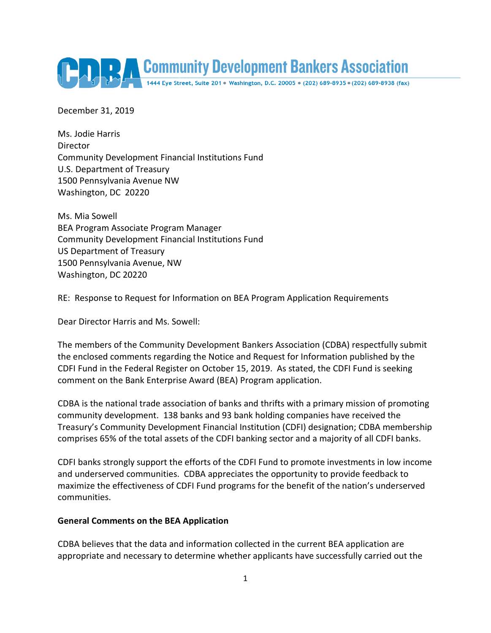

December 31, 2019

Ms. Jodie Harris Director Community Development Financial Institutions Fund U.S. Department of Treasury 1500 Pennsylvania Avenue NW Washington, DC 20220

Ms. Mia Sowell BEA Program Associate Program Manager Community Development Financial Institutions Fund US Department of Treasury 1500 Pennsylvania Avenue, NW Washington, DC 20220

RE: Response to Request for Information on BEA Program Application Requirements

Dear Director Harris and Ms. Sowell:

The members of the Community Development Bankers Association (CDBA) respectfully submit the enclosed comments regarding the Notice and Request for Information published by the CDFI Fund in the Federal Register on October 15, 2019. As stated, the CDFI Fund is seeking comment on the Bank Enterprise Award (BEA) Program application.

CDBA is the national trade association of banks and thrifts with a primary mission of promoting community development. 138 banks and 93 bank holding companies have received the Treasury's Community Development Financial Institution (CDFI) designation; CDBA membership comprises 65% of the total assets of the CDFI banking sector and a majority of all CDFI banks.

CDFI banks strongly support the efforts of the CDFI Fund to promote investments in low income and underserved communities. CDBA appreciates the opportunity to provide feedback to maximize the effectiveness of CDFI Fund programs for the benefit of the nation's underserved communities.

### **General Comments on the BEA Application**

CDBA believes that the data and information collected in the current BEA application are appropriate and necessary to determine whether applicants have successfully carried out the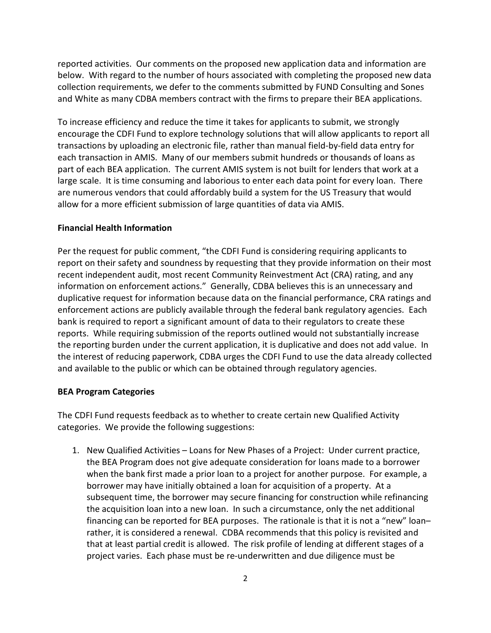reported activities. Our comments on the proposed new application data and information are below. With regard to the number of hours associated with completing the proposed new data collection requirements, we defer to the comments submitted by FUND Consulting and Sones and White as many CDBA members contract with the firms to prepare their BEA applications.

To increase efficiency and reduce the time it takes for applicants to submit, we strongly encourage the CDFI Fund to explore technology solutions that will allow applicants to report all transactions by uploading an electronic file, rather than manual field-by-field data entry for each transaction in AMIS. Many of our members submit hundreds or thousands of loans as part of each BEA application. The current AMIS system is not built for lenders that work at a large scale. It is time consuming and laborious to enter each data point for every loan. There are numerous vendors that could affordably build a system for the US Treasury that would allow for a more efficient submission of large quantities of data via AMIS.

### **Financial Health Information**

Per the request for public comment, "the CDFI Fund is considering requiring applicants to report on their safety and soundness by requesting that they provide information on their most recent independent audit, most recent Community Reinvestment Act (CRA) rating, and any information on enforcement actions." Generally, CDBA believes this is an unnecessary and duplicative request for information because data on the financial performance, CRA ratings and enforcement actions are publicly available through the federal bank regulatory agencies. Each bank is required to report a significant amount of data to their regulators to create these reports. While requiring submission of the reports outlined would not substantially increase the reporting burden under the current application, it is duplicative and does not add value. In the interest of reducing paperwork, CDBA urges the CDFI Fund to use the data already collected and available to the public or which can be obtained through regulatory agencies.

#### **BEA Program Categories**

The CDFI Fund requests feedback as to whether to create certain new Qualified Activity categories. We provide the following suggestions:

1. New Qualified Activities – Loans for New Phases of a Project: Under current practice, the BEA Program does not give adequate consideration for loans made to a borrower when the bank first made a prior loan to a project for another purpose. For example, a borrower may have initially obtained a loan for acquisition of a property. At a subsequent time, the borrower may secure financing for construction while refinancing the acquisition loan into a new loan. In such a circumstance, only the net additional financing can be reported for BEA purposes. The rationale is that it is not a "new" loan– rather, it is considered a renewal. CDBA recommends that this policy is revisited and that at least partial credit is allowed. The risk profile of lending at different stages of a project varies. Each phase must be re-underwritten and due diligence must be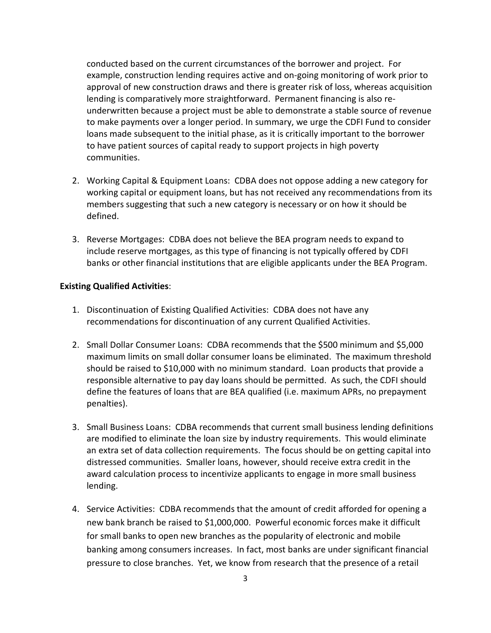conducted based on the current circumstances of the borrower and project. For example, construction lending requires active and on-going monitoring of work prior to approval of new construction draws and there is greater risk of loss, whereas acquisition lending is comparatively more straightforward. Permanent financing is also reunderwritten because a project must be able to demonstrate a stable source of revenue to make payments over a longer period. In summary, we urge the CDFI Fund to consider loans made subsequent to the initial phase, as it is critically important to the borrower to have patient sources of capital ready to support projects in high poverty communities.

- 2. Working Capital & Equipment Loans: CDBA does not oppose adding a new category for working capital or equipment loans, but has not received any recommendations from its members suggesting that such a new category is necessary or on how it should be defined.
- 3. Reverse Mortgages: CDBA does not believe the BEA program needs to expand to include reserve mortgages, as this type of financing is not typically offered by CDFI banks or other financial institutions that are eligible applicants under the BEA Program.

# **Existing Qualified Activities**:

- 1. Discontinuation of Existing Qualified Activities: CDBA does not have any recommendations for discontinuation of any current Qualified Activities.
- 2. Small Dollar Consumer Loans: CDBA recommends that the \$500 minimum and \$5,000 maximum limits on small dollar consumer loans be eliminated. The maximum threshold should be raised to \$10,000 with no minimum standard. Loan products that provide a responsible alternative to pay day loans should be permitted. As such, the CDFI should define the features of loans that are BEA qualified (i.e. maximum APRs, no prepayment penalties).
- 3. Small Business Loans: CDBA recommends that current small business lending definitions are modified to eliminate the loan size by industry requirements. This would eliminate an extra set of data collection requirements. The focus should be on getting capital into distressed communities. Smaller loans, however, should receive extra credit in the award calculation process to incentivize applicants to engage in more small business lending.
- 4. Service Activities: CDBA recommends that the amount of credit afforded for opening a new bank branch be raised to \$1,000,000. Powerful economic forces make it difficult for small banks to open new branches as the popularity of electronic and mobile banking among consumers increases. In fact, most banks are under significant financial pressure to close branches. Yet, we know from research that the presence of a retail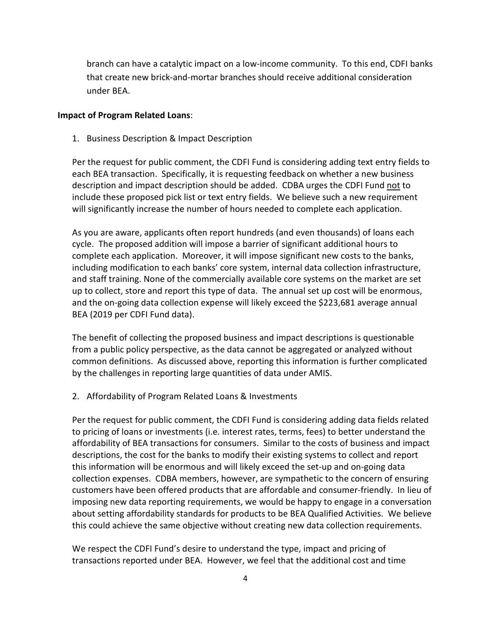branch can have a catalytic impact on a low-income community. To this end, CDFI banks that create new brick-and-mortar branches should receive additional consideration under BEA.

### **Impact of Program Related Loans**:

1. Business Description & Impact Description

Per the request for public comment, the CDFI Fund is considering adding text entry fields to each BEA transaction. Specifically, it is requesting feedback on whether a new business description and impact description should be added. CDBA urges the CDFI Fund not to include these proposed pick list or text entry fields. We believe such a new requirement will significantly increase the number of hours needed to complete each application.

As you are aware, applicants often report hundreds (and even thousands) of loans each cycle. The proposed addition will impose a barrier of significant additional hours to complete each application. Moreover, it will impose significant new costs to the banks, including modification to each banks' core system, internal data collection infrastructure, and staff training. None of the commercially available core systems on the market are set up to collect, store and report this type of data. The annual set up cost will be enormous, and the on-going data collection expense will likely exceed the \$223,681 average annual BEA (2019 per CDFI Fund data).

The benefit of collecting the proposed business and impact descriptions is questionable from a public policy perspective, as the data cannot be aggregated or analyzed without common definitions. As discussed above, reporting this information is further complicated by the challenges in reporting large quantities of data under AMIS.

2. Affordability of Program Related Loans & Investments

Per the request for public comment, the CDFI Fund is considering adding data fields related to pricing of loans or investments (i.e. interest rates, terms, fees) to better understand the affordability of BEA transactions for consumers. Similar to the costs of business and impact descriptions, the cost for the banks to modify their existing systems to collect and report this information will be enormous and will likely exceed the set-up and on-going data collection expenses. CDBA members, however, are sympathetic to the concern of ensuring customers have been offered products that are affordable and consumer-friendly. In lieu of imposing new data reporting requirements, we would be happy to engage in a conversation about setting affordability standards for products to be BEA Qualified Activities. We believe this could achieve the same objective without creating new data collection requirements.

We respect the CDFI Fund's desire to understand the type, impact and pricing of transactions reported under BEA. However, we feel that the additional cost and time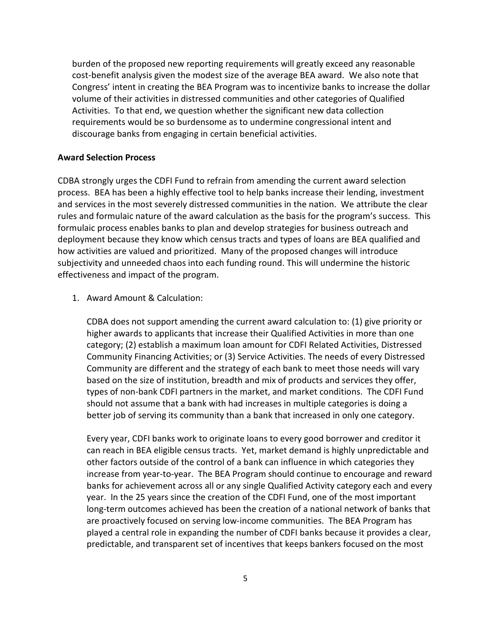burden of the proposed new reporting requirements will greatly exceed any reasonable cost-benefit analysis given the modest size of the average BEA award. We also note that Congress' intent in creating the BEA Program was to incentivize banks to increase the dollar volume of their activities in distressed communities and other categories of Qualified Activities. To that end, we question whether the significant new data collection requirements would be so burdensome as to undermine congressional intent and discourage banks from engaging in certain beneficial activities.

# **Award Selection Process**

CDBA strongly urges the CDFI Fund to refrain from amending the current award selection process. BEA has been a highly effective tool to help banks increase their lending, investment and services in the most severely distressed communities in the nation. We attribute the clear rules and formulaic nature of the award calculation as the basis for the program's success. This formulaic process enables banks to plan and develop strategies for business outreach and deployment because they know which census tracts and types of loans are BEA qualified and how activities are valued and prioritized. Many of the proposed changes will introduce subjectivity and unneeded chaos into each funding round. This will undermine the historic effectiveness and impact of the program.

1. Award Amount & Calculation:

CDBA does not support amending the current award calculation to: (1) give priority or higher awards to applicants that increase their Qualified Activities in more than one category; (2) establish a maximum loan amount for CDFI Related Activities, Distressed Community Financing Activities; or (3) Service Activities. The needs of every Distressed Community are different and the strategy of each bank to meet those needs will vary based on the size of institution, breadth and mix of products and services they offer, types of non-bank CDFI partners in the market, and market conditions. The CDFI Fund should not assume that a bank with had increases in multiple categories is doing a better job of serving its community than a bank that increased in only one category.

Every year, CDFI banks work to originate loans to every good borrower and creditor it can reach in BEA eligible census tracts. Yet, market demand is highly unpredictable and other factors outside of the control of a bank can influence in which categories they increase from year-to-year. The BEA Program should continue to encourage and reward banks for achievement across all or any single Qualified Activity category each and every year. In the 25 years since the creation of the CDFI Fund, one of the most important long-term outcomes achieved has been the creation of a national network of banks that are proactively focused on serving low-income communities. The BEA Program has played a central role in expanding the number of CDFI banks because it provides a clear, predictable, and transparent set of incentives that keeps bankers focused on the most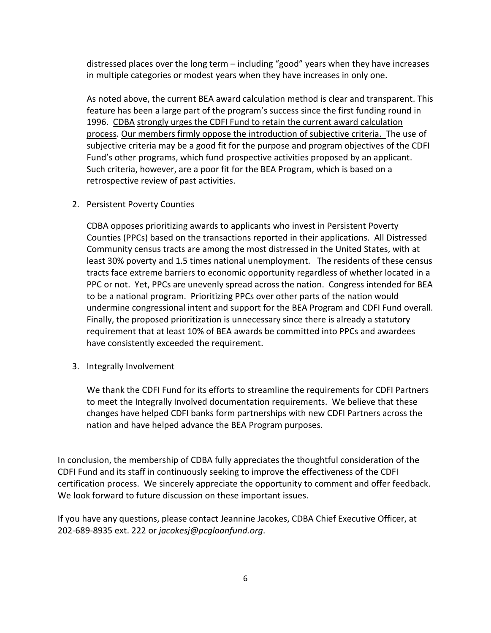distressed places over the long term – including "good" years when they have increases in multiple categories or modest years when they have increases in only one.

As noted above, the current BEA award calculation method is clear and transparent. This feature has been a large part of the program's success since the first funding round in 1996. CDBA strongly urges the CDFI Fund to retain the current award calculation process. Our members firmly oppose the introduction of subjective criteria. The use of subjective criteria may be a good fit for the purpose and program objectives of the CDFI Fund's other programs, which fund prospective activities proposed by an applicant. Such criteria, however, are a poor fit for the BEA Program, which is based on a retrospective review of past activities.

2. Persistent Poverty Counties

CDBA opposes prioritizing awards to applicants who invest in Persistent Poverty Counties (PPCs) based on the transactions reported in their applications. All Distressed Community census tracts are among the most distressed in the United States, with at least 30% poverty and 1.5 times national unemployment. The residents of these census tracts face extreme barriers to economic opportunity regardless of whether located in a PPC or not. Yet, PPCs are unevenly spread across the nation. Congress intended for BEA to be a national program. Prioritizing PPCs over other parts of the nation would undermine congressional intent and support for the BEA Program and CDFI Fund overall. Finally, the proposed prioritization is unnecessary since there is already a statutory requirement that at least 10% of BEA awards be committed into PPCs and awardees have consistently exceeded the requirement.

3. Integrally Involvement

We thank the CDFI Fund for its efforts to streamline the requirements for CDFI Partners to meet the Integrally Involved documentation requirements. We believe that these changes have helped CDFI banks form partnerships with new CDFI Partners across the nation and have helped advance the BEA Program purposes.

In conclusion, the membership of CDBA fully appreciates the thoughtful consideration of the CDFI Fund and its staff in continuously seeking to improve the effectiveness of the CDFI certification process. We sincerely appreciate the opportunity to comment and offer feedback. We look forward to future discussion on these important issues.

If you have any questions, please contact Jeannine Jacokes, CDBA Chief Executive Officer, at 202-689-8935 ext. 222 or *jacokesj@pcgloanfund.org*.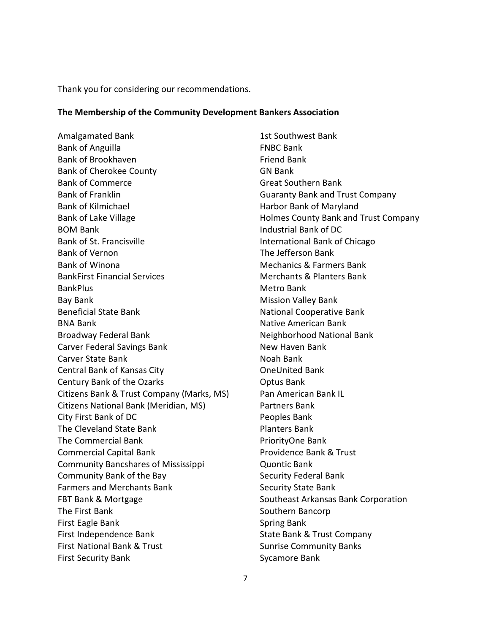Thank you for considering our recommendations.

### **The Membership of the Community Development Bankers Association**

Amalgamated Bank Bank of Anguilla Bank of Brookhaven Bank of Cherokee County Bank of Commerce Bank of Franklin Bank of Kilmichael Bank of Lake Village BOM Bank Bank of St. Francisville Bank of Vernon Bank of Winona BankFirst Financial Services **BankPlus** Bay Bank Beneficial State Bank BNA Bank Broadway Federal Bank Carver Federal Savings Bank Carver State Bank Central Bank of Kansas City Century Bank of the Ozarks Citizens Bank & Trust Company (Marks, MS) Citizens National Bank (Meridian, MS) City First Bank of DC The Cleveland State Bank The Commercial Bank Commercial Capital Bank Community Bancshares of Mississippi Community Bank of the Bay Farmers and Merchants Bank FBT Bank & Mortgage The First Bank First Eagle Bank First Independence Bank First National Bank & Trust First Security Bank

1st Southwest Bank FNBC Bank Friend Bank GN Bank Great Southern Bank Guaranty Bank and Trust Company Harbor Bank of Maryland Holmes County Bank and Trust Company Industrial Bank of DC International Bank of Chicago The Jefferson Bank Mechanics & Farmers Bank Merchants & Planters Bank Metro Bank Mission Valley Bank National Cooperative Bank Native American Bank Neighborhood National Bank New Haven Bank Noah Bank OneUnited Bank Optus Bank Pan American Bank IL Partners Bank Peoples Bank Planters Bank PriorityOne Bank Providence Bank & Trust Quontic Bank Security Federal Bank Security State Bank Southeast Arkansas Bank Corporation Southern Bancorp Spring Bank State Bank & Trust Company Sunrise Community Banks Sycamore Bank